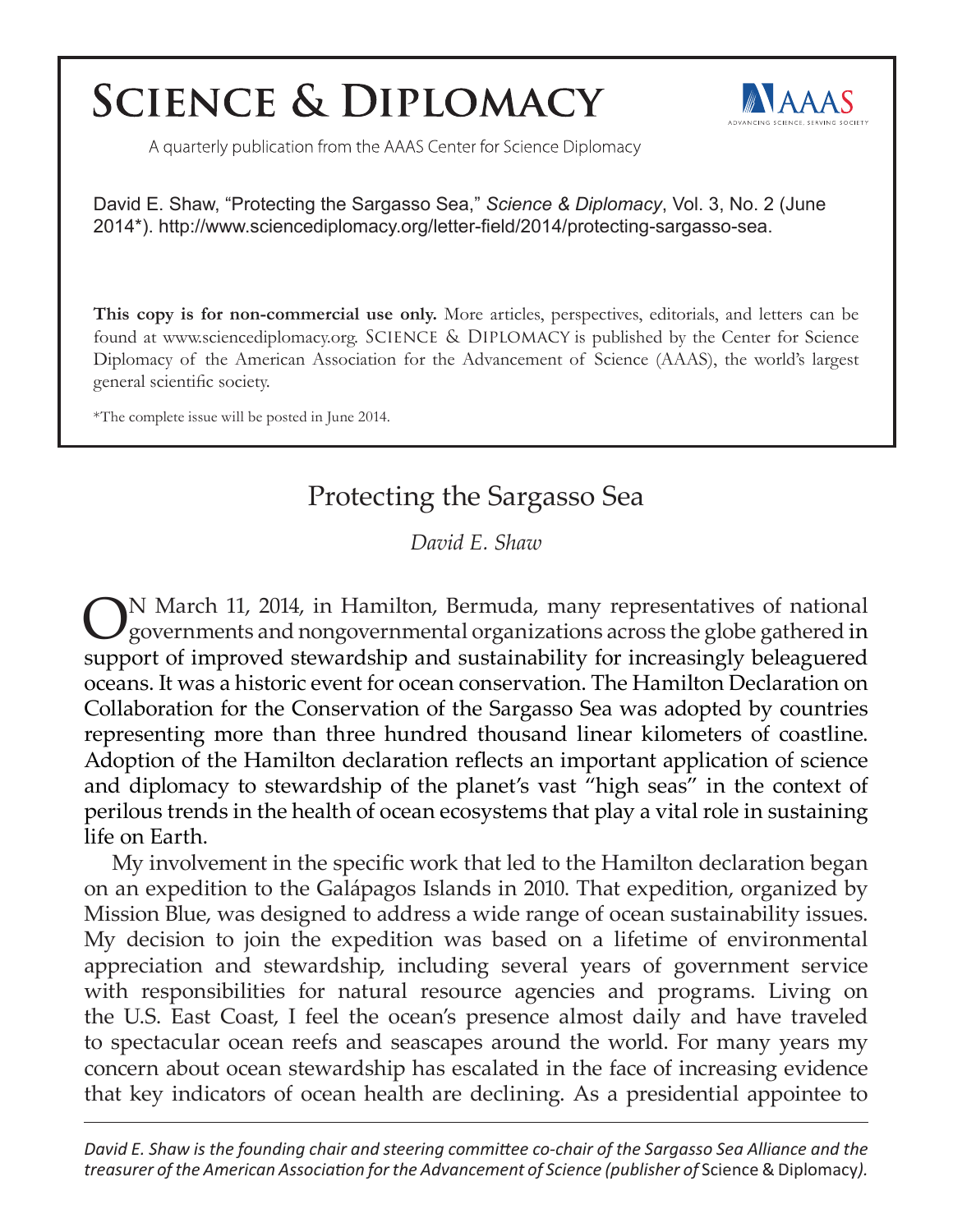## **SCIENCE & DIPLOMACY**



A quarterly publication from the AAAS Center for Science Diplomacy

David E. Shaw, "Protecting the Sargasso Sea," *Science & Diplomacy*, Vol. 3, No. 2 (June 2014\*). http://www.sciencediplomacy.org/letter-field/2014/protecting-sargasso-sea.

**This copy is for non-commercial use only.** More articles, perspectives, editorials, and letters can be found at www.sciencediplomacy.org. SCIENCE & DIPLOMACY is published by the Center for Science Diplomacy of the American Association for the Advancement of Science (AAAS), the world's largest general scientific society.

\*The complete issue will be posted in June 2014.

## Protecting the Sargasso Sea

*David E. Shaw*

ON March 11, 2014, in Hamilton, Bermuda, many representatives of national governments and nongovernmental organizations across the globe gathered in support of improved stewardship and sustainability for increasingly beleaguered oceans. It was a historic event for ocean conservation. The Hamilton Declaration on Collaboration for the Conservation of the Sargasso Sea was adopted by countries representing more than three hundred thousand linear kilometers of coastline. Adoption of the Hamilton declaration reflects an important application of science and diplomacy to stewardship of the planet's vast "high seas" in the context of perilous trends in the health of ocean ecosystems that play a vital role in sustaining life on Earth.

My involvement in the specific work that led to the Hamilton declaration began on an expedition to the Galápagos Islands in 2010. That expedition, organized by Mission Blue, was designed to address a wide range of ocean sustainability issues. My decision to join the expedition was based on a lifetime of environmental appreciation and stewardship, including several years of government service with responsibilities for natural resource agencies and programs. Living on the U.S. East Coast, I feel the ocean's presence almost daily and have traveled to spectacular ocean reefs and seascapes around the world. For many years my concern about ocean stewardship has escalated in the face of increasing evidence that key indicators of ocean health are declining. As a presidential appointee to

*David E. Shaw is the founding chair and steering committee co-chair of the Sargasso Sea Alliance and the treasurer of the American Association for the Advancement of Science (publisher of Science & Diplomacy).*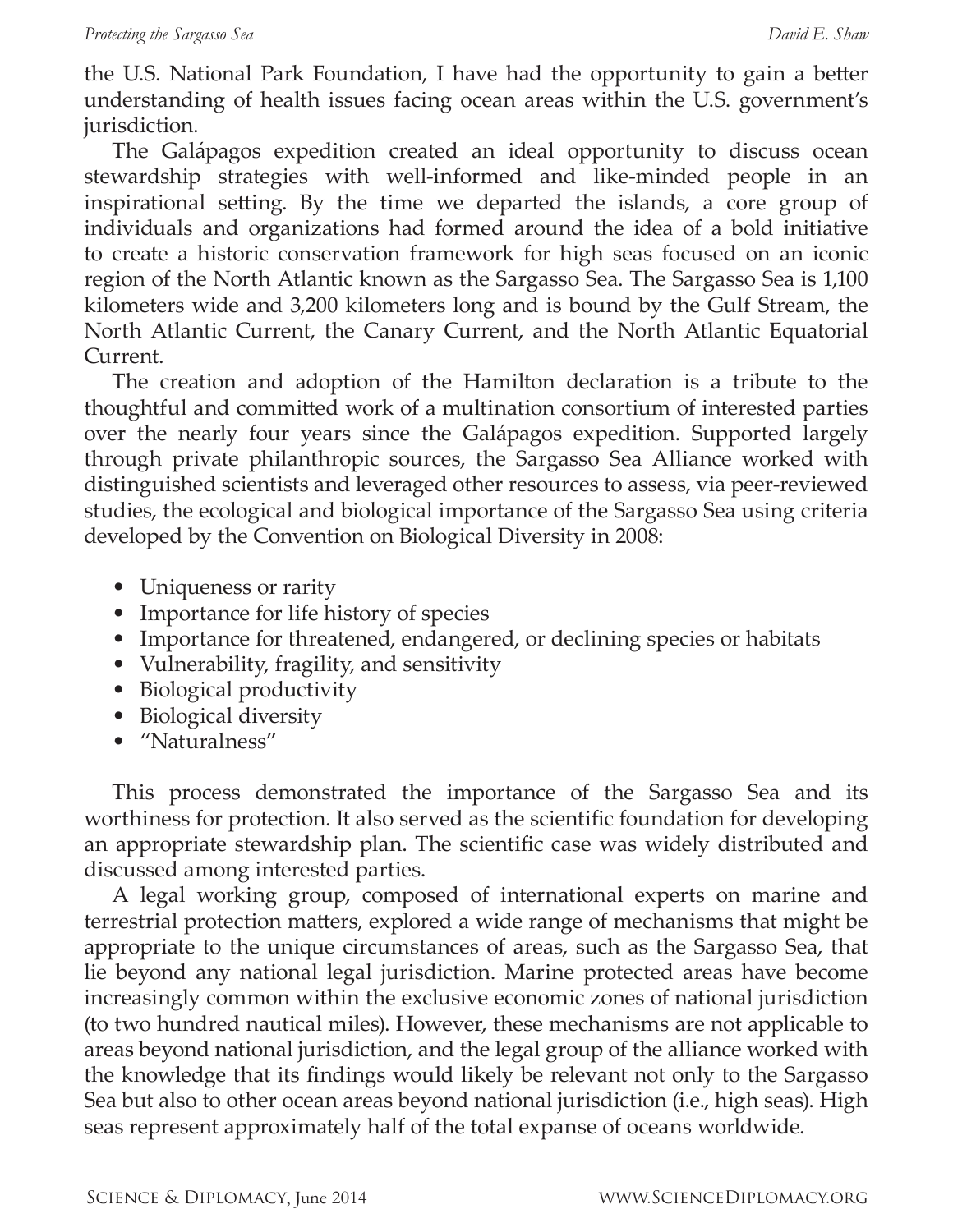the U.S. National Park Foundation, I have had the opportunity to gain a better understanding of health issues facing ocean areas within the U.S. government's jurisdiction.

The Galápagos expedition created an ideal opportunity to discuss ocean stewardship strategies with well-informed and like-minded people in an inspirational setting. By the time we departed the islands, a core group of individuals and organizations had formed around the idea of a bold initiative to create a historic conservation framework for high seas focused on an iconic region of the North Atlantic known as the Sargasso Sea. The Sargasso Sea is 1,100 kilometers wide and 3,200 kilometers long and is bound by the Gulf Stream, the North Atlantic Current, the Canary Current, and the North Atlantic Equatorial Current.

The creation and adoption of the Hamilton declaration is a tribute to the thoughtful and committed work of a multination consortium of interested parties over the nearly four years since the Galápagos expedition. Supported largely through private philanthropic sources, the Sargasso Sea Alliance worked with distinguished scientists and leveraged other resources to assess, via peer-reviewed studies, the ecological and biological importance of the Sargasso Sea using criteria developed by the Convention on Biological Diversity in 2008:

- Uniqueness or rarity
- Importance for life history of species
- Importance for threatened, endangered, or declining species or habitats
- Vulnerability, fragility, and sensitivity
- Biological productivity
- Biological diversity
- "Naturalness"

This process demonstrated the importance of the Sargasso Sea and its worthiness for protection. It also served as the scientific foundation for developing an appropriate stewardship plan. The scientific case was widely distributed and discussed among interested parties.

A legal working group, composed of international experts on marine and terrestrial protection matters, explored a wide range of mechanisms that might be appropriate to the unique circumstances of areas, such as the Sargasso Sea, that lie beyond any national legal jurisdiction. Marine protected areas have become increasingly common within the exclusive economic zones of national jurisdiction (to two hundred nautical miles). However, these mechanisms are not applicable to areas beyond national jurisdiction, and the legal group of the alliance worked with the knowledge that its findings would likely be relevant not only to the Sargasso Sea but also to other ocean areas beyond national jurisdiction (i.e., high seas). High seas represent approximately half of the total expanse of oceans worldwide.